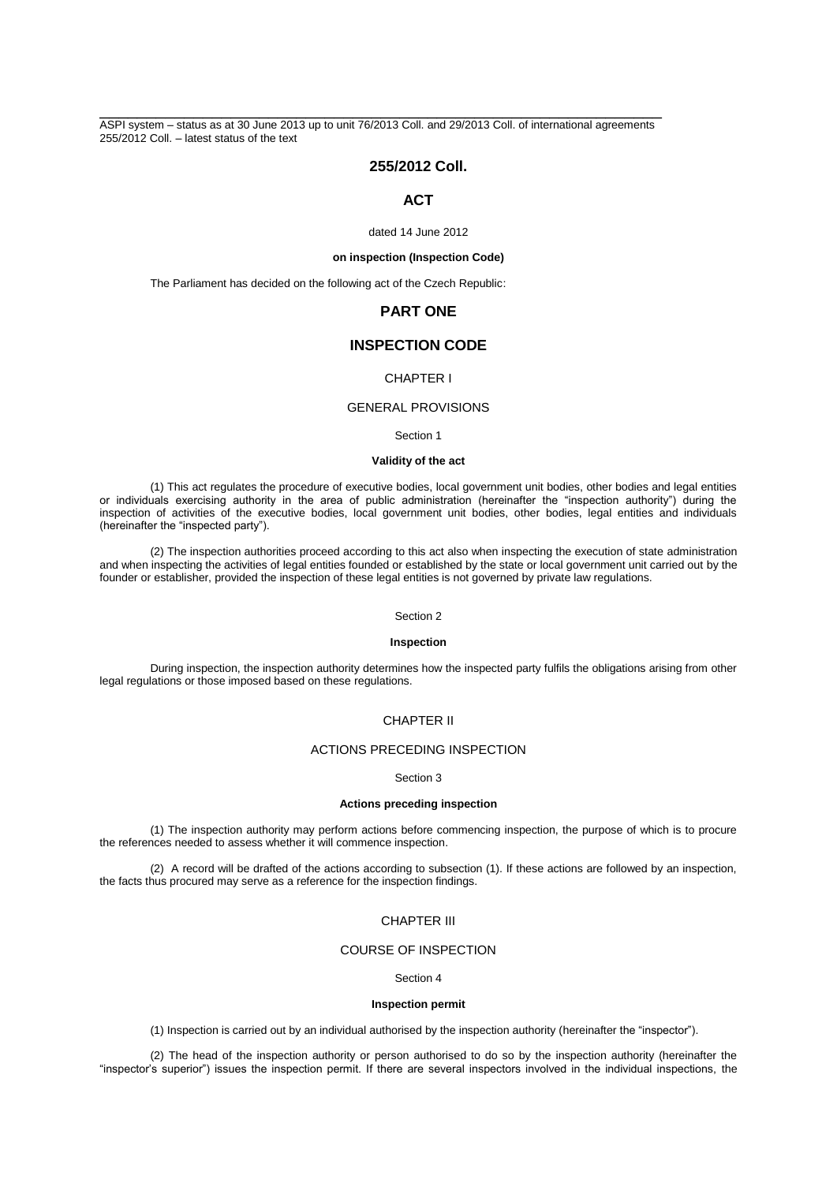\_\_\_\_\_\_\_\_\_\_\_\_\_\_\_\_\_\_\_\_\_\_\_\_\_\_\_\_\_\_\_\_\_\_\_\_\_\_\_\_\_\_\_\_\_\_\_\_\_\_\_\_\_\_\_\_\_\_\_\_ ASPI system – status as at 30 June 2013 up to unit 76/2013 Coll. and 29/2013 Coll. of international agreements 255/2012 Coll. – latest status of the text

## **255/2012 Coll.**

## **ACT**

dated 14 June 2012

## **on inspection (Inspection Code)**

The Parliament has decided on the following act of the Czech Republic:

## **PART ONE**

# **INSPECTION CODE**

## CHAPTER I

## GENERAL PROVISIONS

Section 1

#### **Validity of the act**

(1) This act regulates the procedure of executive bodies, local government unit bodies, other bodies and legal entities or individuals exercising authority in the area of public administration (hereinafter the "inspection authority") during the inspection of activities of the executive bodies, local government unit bodies, other bodies, legal entities and individuals (hereinafter the "inspected party").

(2) The inspection authorities proceed according to this act also when inspecting the execution of state administration and when inspecting the activities of legal entities founded or established by the state or local government unit carried out by the founder or establisher, provided the inspection of these legal entities is not governed by private law regulations.

### Section 2

#### **Inspection**

During inspection, the inspection authority determines how the inspected party fulfils the obligations arising from other legal regulations or those imposed based on these regulations.

## CHAPTER II

## ACTIONS PRECEDING INSPECTION

### Section 3

#### **Actions preceding inspection**

(1) The inspection authority may perform actions before commencing inspection, the purpose of which is to procure the references needed to assess whether it will commence inspection.

(2) A record will be drafted of the actions according to subsection (1). If these actions are followed by an inspection, the facts thus procured may serve as a reference for the inspection findings.

## CHAPTER III

## COURSE OF INSPECTION

### Section 4

### **Inspection permit**

(1) Inspection is carried out by an individual authorised by the inspection authority (hereinafter the "inspector").

(2) The head of the inspection authority or person authorised to do so by the inspection authority (hereinafter the "inspector's superior") issues the inspection permit. If there are several inspectors involved in the individual inspections, the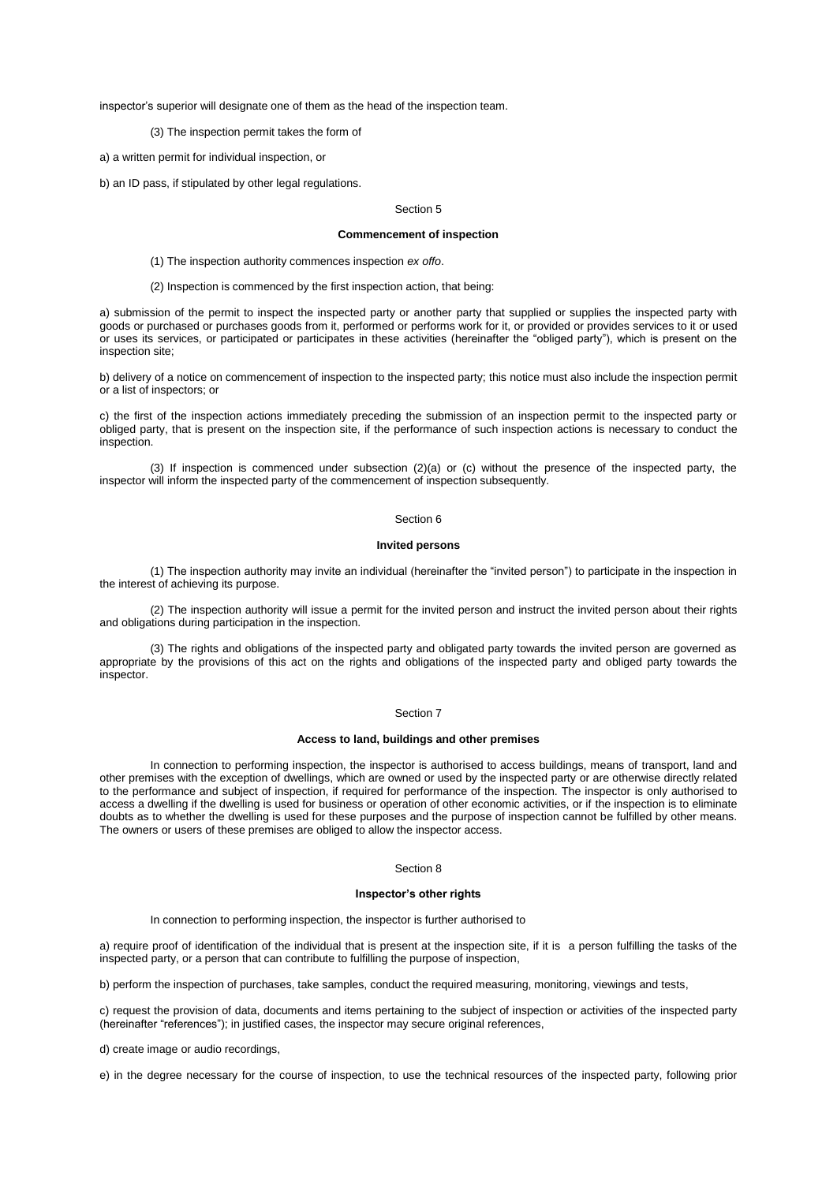inspector's superior will designate one of them as the head of the inspection team.

(3) The inspection permit takes the form of

a) a written permit for individual inspection, or

b) an ID pass, if stipulated by other legal regulations.

#### Section 5

#### **Commencement of inspection**

(1) The inspection authority commences inspection *ex offo*.

(2) Inspection is commenced by the first inspection action, that being:

a) submission of the permit to inspect the inspected party or another party that supplied or supplies the inspected party with goods or purchased or purchases goods from it, performed or performs work for it, or provided or provides services to it or used or uses its services, or participated or participates in these activities (hereinafter the "obliged party"), which is present on the inspection site;

b) delivery of a notice on commencement of inspection to the inspected party; this notice must also include the inspection permit or a list of inspectors; or

c) the first of the inspection actions immediately preceding the submission of an inspection permit to the inspected party or obliged party, that is present on the inspection site, if the performance of such inspection actions is necessary to conduct the inspection.

(3) If inspection is commenced under subsection (2)(a) or (c) without the presence of the inspected party, the inspector will inform the inspected party of the commencement of inspection subsequently.

#### Section 6

### **Invited persons**

(1) The inspection authority may invite an individual (hereinafter the "invited person") to participate in the inspection in the interest of achieving its purpose.

(2) The inspection authority will issue a permit for the invited person and instruct the invited person about their rights and obligations during participation in the inspection.

(3) The rights and obligations of the inspected party and obligated party towards the invited person are governed as appropriate by the provisions of this act on the rights and obligations of the inspected party and obliged party towards the inspector.

#### Section 7

### **Access to land, buildings and other premises**

In connection to performing inspection, the inspector is authorised to access buildings, means of transport, land and other premises with the exception of dwellings, which are owned or used by the inspected party or are otherwise directly related to the performance and subject of inspection, if required for performance of the inspection. The inspector is only authorised to access a dwelling if the dwelling is used for business or operation of other economic activities, or if the inspection is to eliminate doubts as to whether the dwelling is used for these purposes and the purpose of inspection cannot be fulfilled by other means. The owners or users of these premises are obliged to allow the inspector access.

#### Section 8

#### **Inspector's other rights**

In connection to performing inspection, the inspector is further authorised to

a) require proof of identification of the individual that is present at the inspection site, if it is a person fulfilling the tasks of the inspected party, or a person that can contribute to fulfilling the purpose of inspection,

b) perform the inspection of purchases, take samples, conduct the required measuring, monitoring, viewings and tests,

c) request the provision of data, documents and items pertaining to the subject of inspection or activities of the inspected party (hereinafter "references"); in justified cases, the inspector may secure original references,

d) create image or audio recordings,

e) in the degree necessary for the course of inspection, to use the technical resources of the inspected party, following prior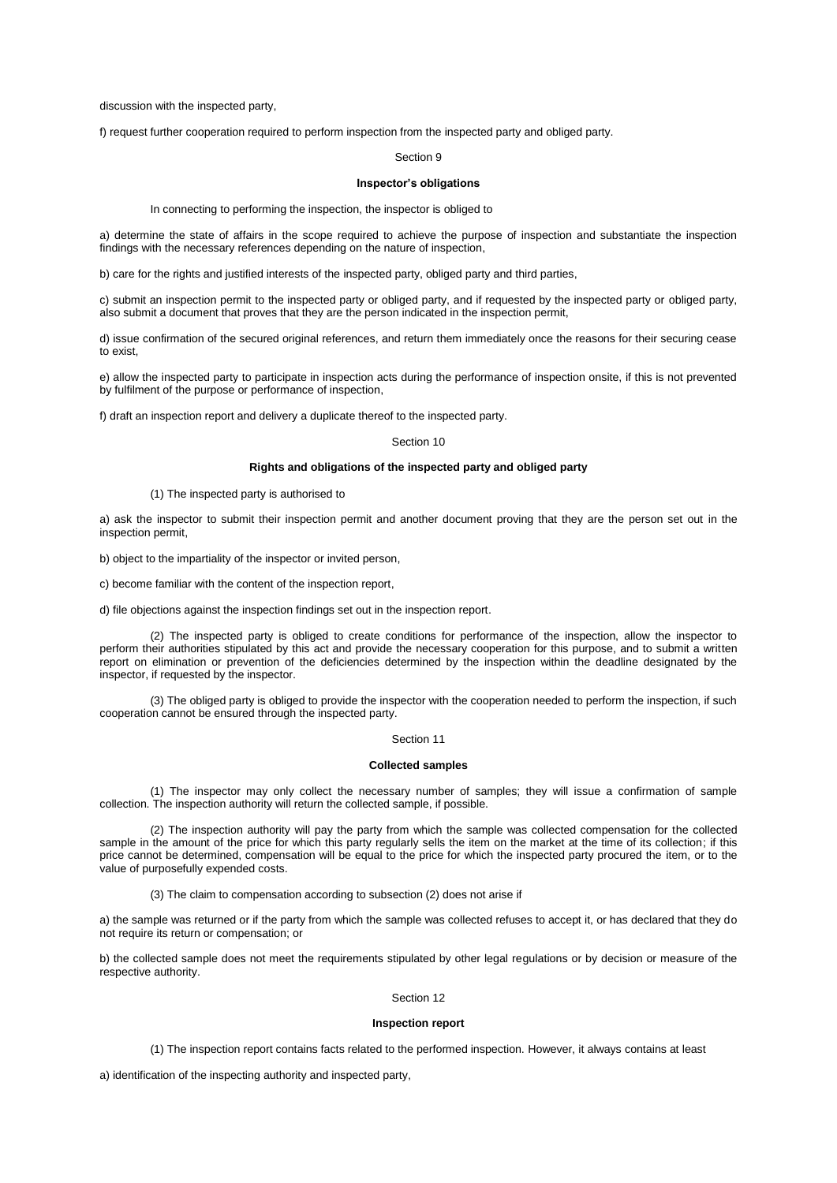discussion with the inspected party,

f) request further cooperation required to perform inspection from the inspected party and obliged party.

#### Section 9

## **Inspector's obligations**

In connecting to performing the inspection, the inspector is obliged to

a) determine the state of affairs in the scope required to achieve the purpose of inspection and substantiate the inspection findings with the necessary references depending on the nature of inspection,

b) care for the rights and justified interests of the inspected party, obliged party and third parties,

c) submit an inspection permit to the inspected party or obliged party, and if requested by the inspected party or obliged party, also submit a document that proves that they are the person indicated in the inspection permit,

d) issue confirmation of the secured original references, and return them immediately once the reasons for their securing cease to exist,

e) allow the inspected party to participate in inspection acts during the performance of inspection onsite, if this is not prevented by fulfilment of the purpose or performance of inspection,

f) draft an inspection report and delivery a duplicate thereof to the inspected party.

## Section 10

### **Rights and obligations of the inspected party and obliged party**

#### (1) The inspected party is authorised to

a) ask the inspector to submit their inspection permit and another document proving that they are the person set out in the inspection permit,

b) object to the impartiality of the inspector or invited person,

c) become familiar with the content of the inspection report,

d) file objections against the inspection findings set out in the inspection report.

(2) The inspected party is obliged to create conditions for performance of the inspection, allow the inspector to perform their authorities stipulated by this act and provide the necessary cooperation for this purpose, and to submit a written report on elimination or prevention of the deficiencies determined by the inspection within the deadline designated by the inspector, if requested by the inspector.

(3) The obliged party is obliged to provide the inspector with the cooperation needed to perform the inspection, if such cooperation cannot be ensured through the inspected party.

#### Section 11

### **Collected samples**

(1) The inspector may only collect the necessary number of samples; they will issue a confirmation of sample collection. The inspection authority will return the collected sample, if possible.

(2) The inspection authority will pay the party from which the sample was collected compensation for the collected sample in the amount of the price for which this party regularly sells the item on the market at the time of its collection; if this price cannot be determined, compensation will be equal to the price for which the inspected party procured the item, or to the value of purposefully expended costs.

(3) The claim to compensation according to subsection (2) does not arise if

a) the sample was returned or if the party from which the sample was collected refuses to accept it, or has declared that they do not require its return or compensation; or

b) the collected sample does not meet the requirements stipulated by other legal regulations or by decision or measure of the respective authority.

## Section 12

### **Inspection report**

(1) The inspection report contains facts related to the performed inspection. However, it always contains at least

a) identification of the inspecting authority and inspected party,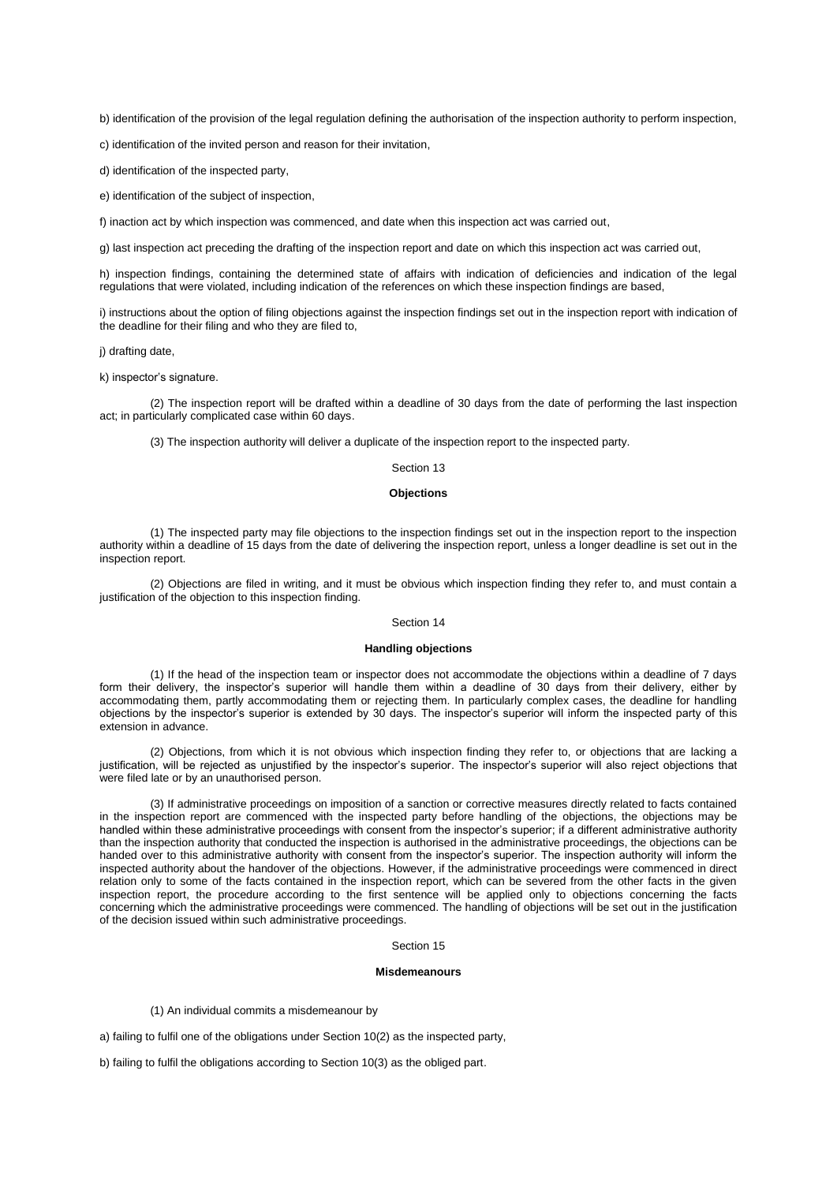b) identification of the provision of the legal regulation defining the authorisation of the inspection authority to perform inspection,

c) identification of the invited person and reason for their invitation,

d) identification of the inspected party,

e) identification of the subject of inspection,

f) inaction act by which inspection was commenced, and date when this inspection act was carried out,

g) last inspection act preceding the drafting of the inspection report and date on which this inspection act was carried out,

h) inspection findings, containing the determined state of affairs with indication of deficiencies and indication of the legal regulations that were violated, including indication of the references on which these inspection findings are based,

i) instructions about the option of filing objections against the inspection findings set out in the inspection report with indication of the deadline for their filing and who they are filed to,

j) drafting date,

k) inspector's signature.

(2) The inspection report will be drafted within a deadline of 30 days from the date of performing the last inspection act; in particularly complicated case within 60 days.

(3) The inspection authority will deliver a duplicate of the inspection report to the inspected party.

#### Section 13

#### **Objections**

(1) The inspected party may file objections to the inspection findings set out in the inspection report to the inspection authority within a deadline of 15 days from the date of delivering the inspection report, unless a longer deadline is set out in the inspection report.

(2) Objections are filed in writing, and it must be obvious which inspection finding they refer to, and must contain a justification of the objection to this inspection finding.

#### Section 14

#### **Handling objections**

(1) If the head of the inspection team or inspector does not accommodate the objections within a deadline of 7 days form their delivery, the inspector's superior will handle them within a deadline of 30 days from their delivery, either by accommodating them, partly accommodating them or rejecting them. In particularly complex cases, the deadline for handling objections by the inspector's superior is extended by 30 days. The inspector's superior will inform the inspected party of this extension in advance.

(2) Objections, from which it is not obvious which inspection finding they refer to, or objections that are lacking a justification, will be rejected as unjustified by the inspector's superior. The inspector's superior will also reject objections that were filed late or by an unauthorised person.

(3) If administrative proceedings on imposition of a sanction or corrective measures directly related to facts contained in the inspection report are commenced with the inspected party before handling of the objections, the objections may be handled within these administrative proceedings with consent from the inspector's superior; if a different administrative authority than the inspection authority that conducted the inspection is authorised in the administrative proceedings, the objections can be handed over to this administrative authority with consent from the inspector's superior. The inspection authority will inform the inspected authority about the handover of the objections. However, if the administrative proceedings were commenced in direct relation only to some of the facts contained in the inspection report, which can be severed from the other facts in the given inspection report, the procedure according to the first sentence will be applied only to objections concerning the facts concerning which the administrative proceedings were commenced. The handling of objections will be set out in the justification of the decision issued within such administrative proceedings.

### Section 15

#### **Misdemeanours**

(1) An individual commits a misdemeanour by

a) failing to fulfil one of the obligations under Section 10(2) as the inspected party,

b) failing to fulfil the obligations according to Section 10(3) as the obliged part.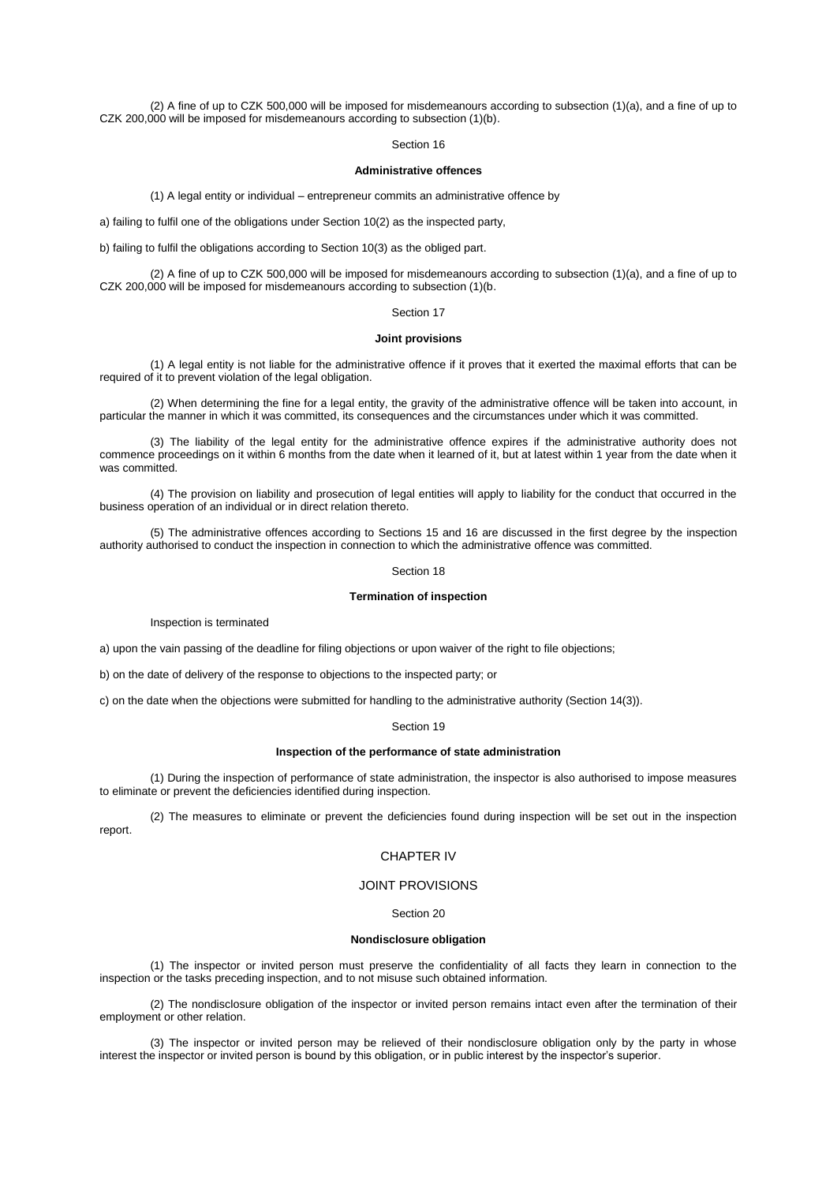(2) A fine of up to CZK 500,000 will be imposed for misdemeanours according to subsection (1)(a), and a fine of up to CZK 200,000 will be imposed for misdemeanours according to subsection (1)(b).

#### Section 16

### **Administrative offences**

(1) A legal entity or individual – entrepreneur commits an administrative offence by

a) failing to fulfil one of the obligations under Section 10(2) as the inspected party,

b) failing to fulfil the obligations according to Section 10(3) as the obliged part.

(2) A fine of up to CZK 500,000 will be imposed for misdemeanours according to subsection (1)(a), and a fine of up to CZK 200,000 will be imposed for misdemeanours according to subsection (1)(b.

### Section 17

#### **Joint provisions**

(1) A legal entity is not liable for the administrative offence if it proves that it exerted the maximal efforts that can be required of it to prevent violation of the legal obligation.

(2) When determining the fine for a legal entity, the gravity of the administrative offence will be taken into account, in particular the manner in which it was committed, its consequences and the circumstances under which it was committed.

(3) The liability of the legal entity for the administrative offence expires if the administrative authority does not commence proceedings on it within 6 months from the date when it learned of it, but at latest within 1 year from the date when it was committed.

(4) The provision on liability and prosecution of legal entities will apply to liability for the conduct that occurred in the business operation of an individual or in direct relation thereto.

(5) The administrative offences according to Sections 15 and 16 are discussed in the first degree by the inspection authority authorised to conduct the inspection in connection to which the administrative offence was committed.

#### Section 18

## **Termination of inspection**

Inspection is terminated

a) upon the vain passing of the deadline for filing objections or upon waiver of the right to file objections;

b) on the date of delivery of the response to objections to the inspected party; or

c) on the date when the objections were submitted for handling to the administrative authority (Section 14(3)).

#### Section 19

#### **Inspection of the performance of state administration**

(1) During the inspection of performance of state administration, the inspector is also authorised to impose measures to eliminate or prevent the deficiencies identified during inspection.

(2) The measures to eliminate or prevent the deficiencies found during inspection will be set out in the inspection report.

### CHAPTER IV

### JOINT PROVISIONS

## Section 20

#### **Nondisclosure obligation**

(1) The inspector or invited person must preserve the confidentiality of all facts they learn in connection to the inspection or the tasks preceding inspection, and to not misuse such obtained information.

(2) The nondisclosure obligation of the inspector or invited person remains intact even after the termination of their employment or other relation.

(3) The inspector or invited person may be relieved of their nondisclosure obligation only by the party in whose interest the inspector or invited person is bound by this obligation, or in public interest by the inspector's superior.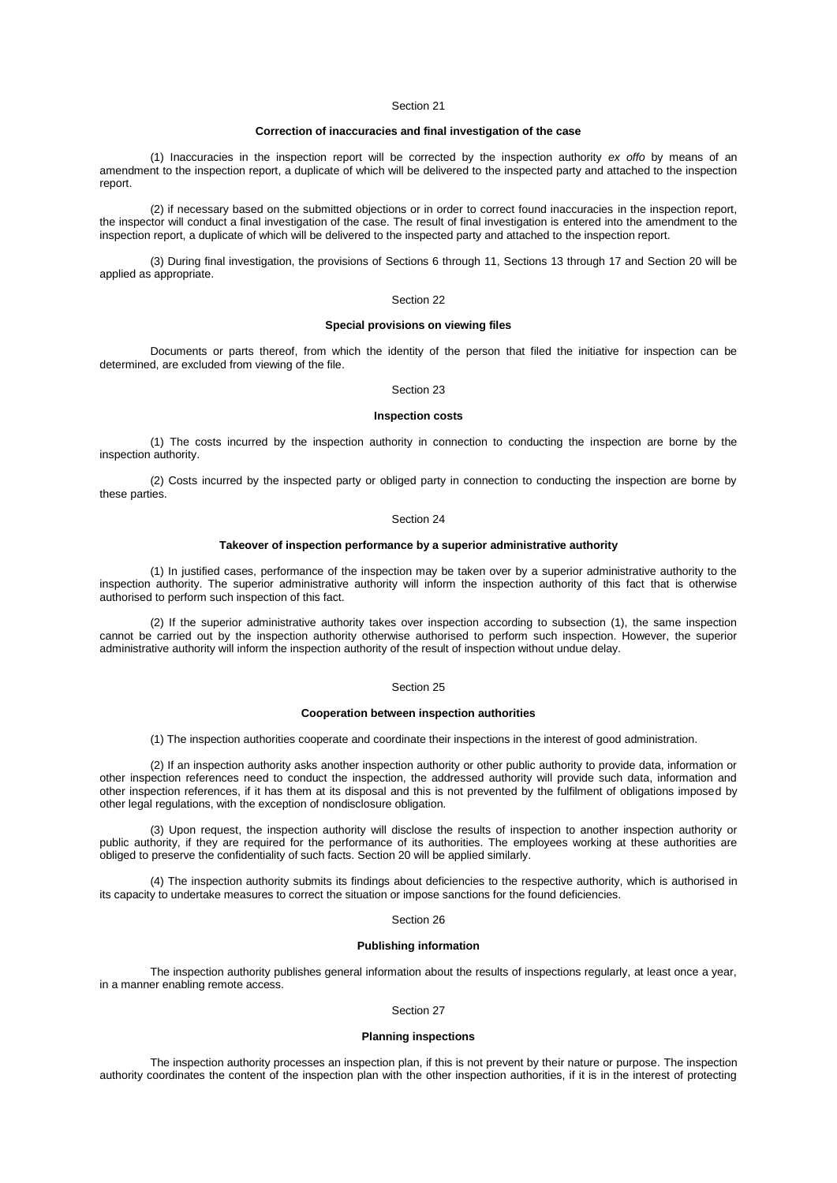#### Section 21

### **Correction of inaccuracies and final investigation of the case**

(1) Inaccuracies in the inspection report will be corrected by the inspection authority *ex offo* by means of an amendment to the inspection report, a duplicate of which will be delivered to the inspected party and attached to the inspection report.

(2) if necessary based on the submitted objections or in order to correct found inaccuracies in the inspection report, the inspector will conduct a final investigation of the case. The result of final investigation is entered into the amendment to the inspection report, a duplicate of which will be delivered to the inspected party and attached to the inspection report.

(3) During final investigation, the provisions of Sections 6 through 11, Sections 13 through 17 and Section 20 will be applied as appropriate.

#### Section 22

#### **Special provisions on viewing files**

Documents or parts thereof, from which the identity of the person that filed the initiative for inspection can be determined, are excluded from viewing of the file.

#### Section 23

#### **Inspection costs**

(1) The costs incurred by the inspection authority in connection to conducting the inspection are borne by the inspection authority.

(2) Costs incurred by the inspected party or obliged party in connection to conducting the inspection are borne by these parties.

#### Section 24

## **Takeover of inspection performance by a superior administrative authority**

(1) In justified cases, performance of the inspection may be taken over by a superior administrative authority to the inspection authority. The superior administrative authority will inform the inspection authority of this fact that is otherwise authorised to perform such inspection of this fact.

(2) If the superior administrative authority takes over inspection according to subsection (1), the same inspection cannot be carried out by the inspection authority otherwise authorised to perform such inspection. However, the superior administrative authority will inform the inspection authority of the result of inspection without undue delay.

#### Section 25

### **Cooperation between inspection authorities**

(1) The inspection authorities cooperate and coordinate their inspections in the interest of good administration.

(2) If an inspection authority asks another inspection authority or other public authority to provide data, information or other inspection references need to conduct the inspection, the addressed authority will provide such data, information and other inspection references, if it has them at its disposal and this is not prevented by the fulfilment of obligations imposed by other legal regulations, with the exception of nondisclosure obligation.

(3) Upon request, the inspection authority will disclose the results of inspection to another inspection authority or public authority, if they are required for the performance of its authorities. The employees working at these authorities are obliged to preserve the confidentiality of such facts. Section 20 will be applied similarly.

(4) The inspection authority submits its findings about deficiencies to the respective authority, which is authorised in its capacity to undertake measures to correct the situation or impose sanctions for the found deficiencies.

### Section 26

### **Publishing information**

The inspection authority publishes general information about the results of inspections regularly, at least once a year, in a manner enabling remote access.

### Section 27

### **Planning inspections**

The inspection authority processes an inspection plan, if this is not prevent by their nature or purpose. The inspection authority coordinates the content of the inspection plan with the other inspection authorities, if it is in the interest of protecting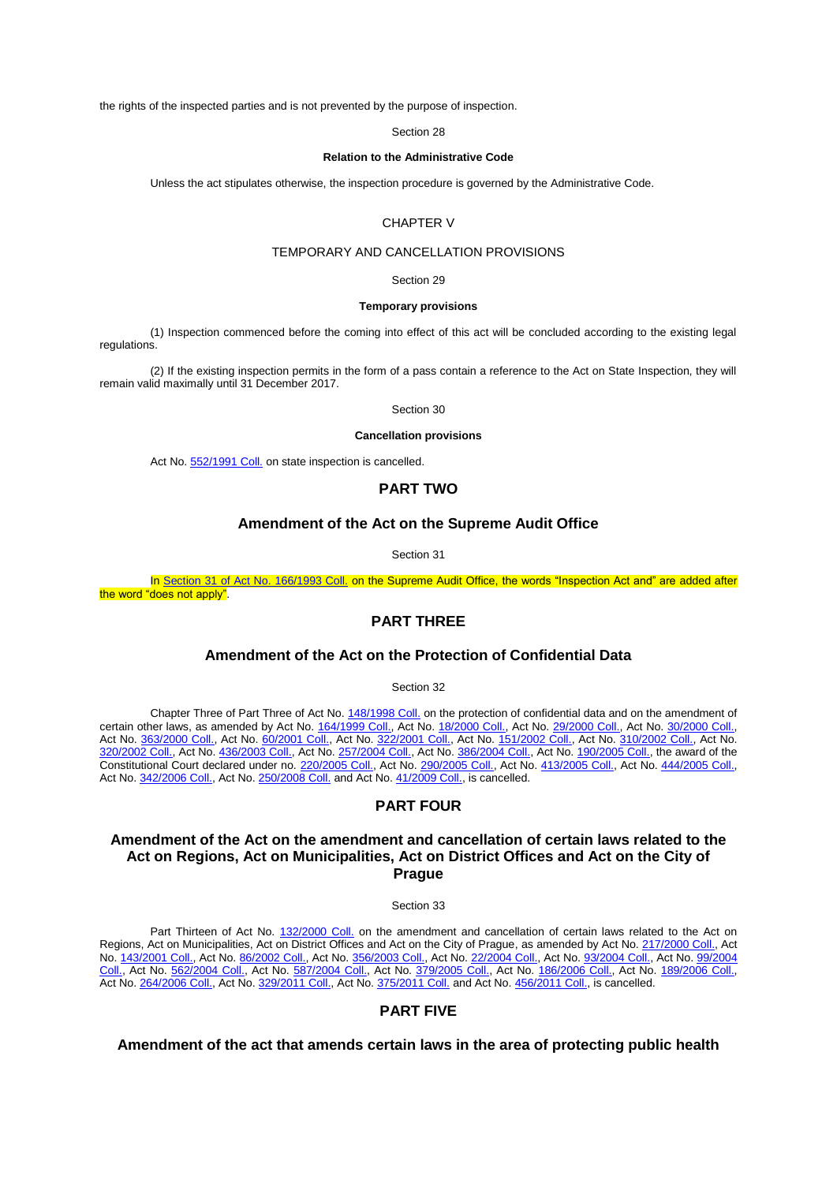the rights of the inspected parties and is not prevented by the purpose of inspection.

Section 28

#### **Relation to the Administrative Code**

Unless the act stipulates otherwise, the inspection procedure is governed by the Administrative Code.

## CHAPTER V

## TEMPORARY AND CANCELLATION PROVISIONS

Section 29

#### **Temporary provisions**

(1) Inspection commenced before the coming into effect of this act will be concluded according to the existing legal regulations.

(2) If the existing inspection permits in the form of a pass contain a reference to the Act on State Inspection, they will remain valid maximally until 31 December 2017.

Section 30

## **Cancellation provisions**

Act No[. 552/1991 Coll.](aspi://module=) on state inspection is cancelled.

## **PART TWO**

## **Amendment of the Act on the Supreme Audit Office**

Section 31

In Section 31 of Act No. [166/1993 Coll.](aspi://module=) on the Supreme Audit Office, the words "Inspection Act and" are added after the word "does not apply".

# **PART THREE**

## **Amendment of the Act on the Protection of Confidential Data**

Section 32

Chapter Three of Part Three of Act No[. 148/1998 Coll.](aspi://module=) on the protection of confidential data and on the amendment of certain other laws, as amended by Act No. [164/1999 Coll.,](aspi://module=) Act No. [18/2000 Coll.,](aspi://module=) Act No. [29/2000 Coll.,](aspi://module=) Act No. [30/2000 Coll.,](aspi://module=) Act No. [363/2000 Coll.,](aspi://module=) Act No. [60/2001 Coll.,](aspi://module=) Act No. [322/2001 Coll.,](aspi://module=) Act No. [151/2002 Coll.,](aspi://module=) Act No. [310/2002 Coll.,](aspi://module=) Act No. [320/2002 Coll.,](aspi://module=) Act No. [436/2003 Coll.,](aspi://module=) Act No. [257/2004 Coll.,](aspi://module=) Act No. [386/2004 Coll.,](aspi://module=) Act No. [190/2005 Coll.,](aspi://module=) the award of the Constitutional Court declared under no[. 220/2005 Coll.,](aspi://module=) Act No. [290/2005 Coll.,](aspi://module=) Act No. [413/2005 Coll.,](aspi://module=) Act No. [444/2005 Coll.,](aspi://module=) Act No. [342/2006 Coll.,](aspi://module=) Act No. [250/2008 Coll.](aspi://module=) and Act No. [41/2009 Coll.,](aspi://module=) is cancelled.

# **PART FOUR**

## **Amendment of the Act on the amendment and cancellation of certain laws related to the Act on Regions, Act on Municipalities, Act on District Offices and Act on the City of Prague**

Section 33

Part Thirteen of Act No. [132/2000 Coll.](aspi://module=) on the amendment and cancellation of certain laws related to the Act on Regions, Act on Municipalities, Act on District Offices and Act on the City of Prague, as amended by Act No. [217/2000 Coll.,](aspi://module=) Act No. [143/2001 Coll.,](aspi://module=) Act No. [86/2002 Coll.,](aspi://module=) Act No. [356/2003 Coll.,](aspi://module=) Act No. [22/2004 Coll.,](aspi://module=) Act No. [93/2004 Coll.,](aspi://module=) Act No. 99/2004 [Coll.,](aspi://module=) Act No. [562/2004 Coll.,](aspi://module=) Act No. [587/2004 Coll.,](aspi://module=) Act No. [379/2005 Coll.,](aspi://module=) Act No. [186/2006 Coll.,](aspi://module=) Act No. [189/2006 Coll.,](aspi://module=) Act No. [264/2006 Coll.,](aspi://module=) Act No. [329/2011 Coll.,](aspi://module=) Act No. [375/2011 Coll.](aspi://module=) and Act No. [456/2011 Coll.,](aspi://module=) is cancelled.

# **PART FIVE**

**Amendment of the act that amends certain laws in the area of protecting public health**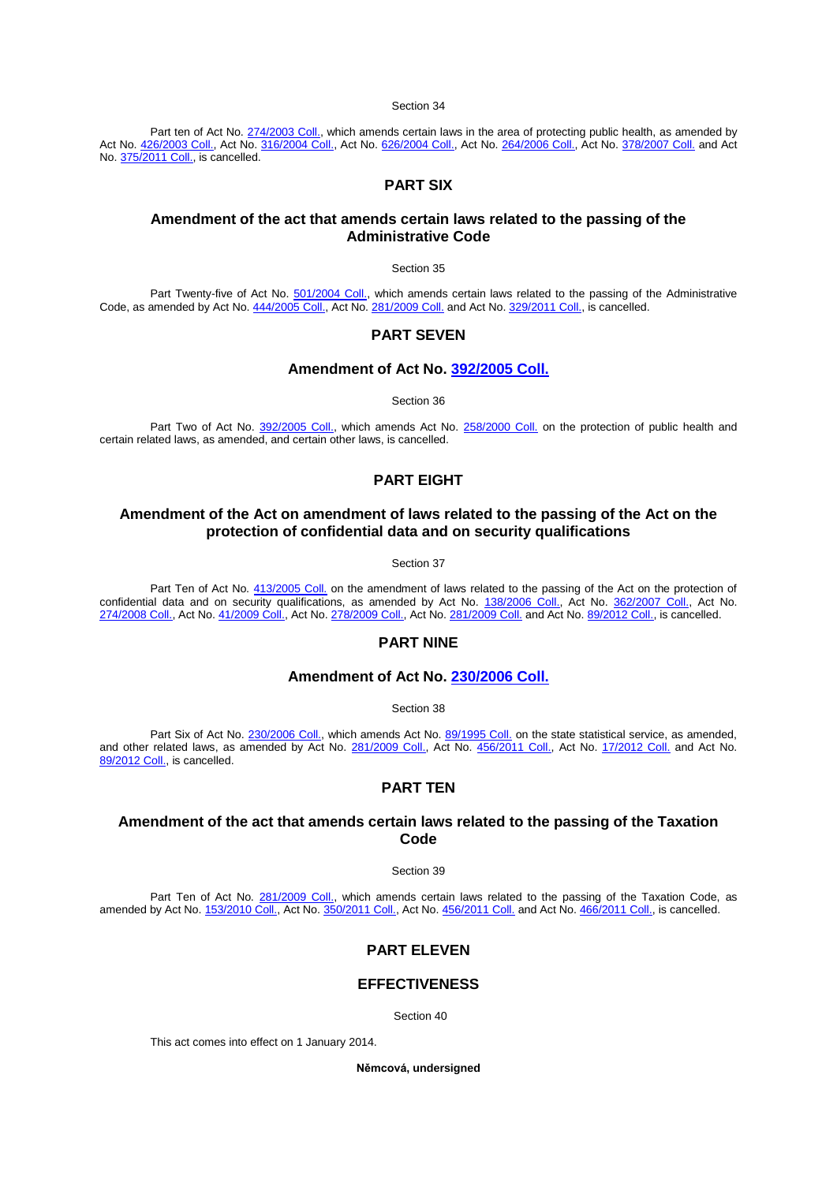### Section 34

Part ten of Act No. [274/2003 Coll.,](aspi://module=) which amends certain laws in the area of protecting public health, as amended by Act No. <u>426/2003 Coll.</u>, Act No. <u>316/2004 Coll.</u>, Act No. <u>626/2004 Coll.</u>, Act No. <u>[264/2006 Coll.,](aspi://module=)</u> Act No. <u>[378/2007 Coll.](aspi://module=)</u> and Act No. [375/2011 Coll.,](aspi://module=) is cancelled.

## **PART SIX**

## **Amendment of the act that amends certain laws related to the passing of the Administrative Code**

Section 35

Part Twenty-five of Act No. [501/2004 Coll.,](aspi://module=) which amends certain laws related to the passing of the Administrative Code, as amended by Act No. [444/2005 Coll.,](aspi://module=) Act No. [281/2009 Coll.](aspi://module=) and Act No. [329/2011 Coll.,](aspi://module=) is cancelled.

## **PART SEVEN**

## **Amendment of Act No. [392/2005 Coll.](aspi://module=)**

Section 36

Part Two of Act No. [392/2005 Coll.,](aspi://module=) which amends Act No. [258/2000 Coll.](aspi://module=) on the protection of public health and certain related laws, as amended, and certain other laws, is cancelled.

# **PART EIGHT**

## **Amendment of the Act on amendment of laws related to the passing of the Act on the protection of confidential data and on security qualifications**

Section 37

Part Ten of Act No.  $413/2005$  Coll. on the amendment of laws related to the passing of the Act on the protection of confidential data and on security qualifications, as amended by Act No. [138/2006 Coll.,](aspi://module=) Act No. [362/2007 Coll.,](aspi://module=) Act No. [274/2008 Coll.,](aspi://module=) Act No. [41/2009 Coll.,](aspi://module=) Act No. [278/2009 Coll.,](aspi://module=) Act No. [281/2009 Coll.](aspi://module=) and Act No. [89/2012 Coll.,](aspi://module=) is cancelled.

## **PART NINE**

## **Amendment of Act No. [230/2006 Coll.](aspi://module=)**

Section 38

Part Six of Act No. [230/2006 Coll.,](aspi://module=) which amends Act No[. 89/1995 Coll.](aspi://module=) on the state statistical service, as amended, and other related laws, as amended by Act No. 2<u>81/2009 Coll.,</u> Act No. <u>[456/2011 Coll.,](aspi://module=)</u> Act No. <u>[17/2012 Coll.](aspi://module=)</u> and Act No. [89/2012 Coll.,](aspi://module=) is cancelled.

## **PART TEN**

# **Amendment of the act that amends certain laws related to the passing of the Taxation Code**

Section 39

Part Ten of Act No. [281/2009 Coll.,](aspi://module=) which amends certain laws related to the passing of the Taxation Code, as amended by Act No. <u>153/2010 Coll.</u>, Act No. <u>350/2011 Coll.</u>, Act No. <u>[456/2011 Coll.](aspi://module=)</u> and Act No. <u>466/2011 Coll.</u>, is cancelled.

# **PART ELEVEN**

## **EFFECTIVENESS**

Section 40

This act comes into effect on 1 January 2014.

**Němcová, undersigned**